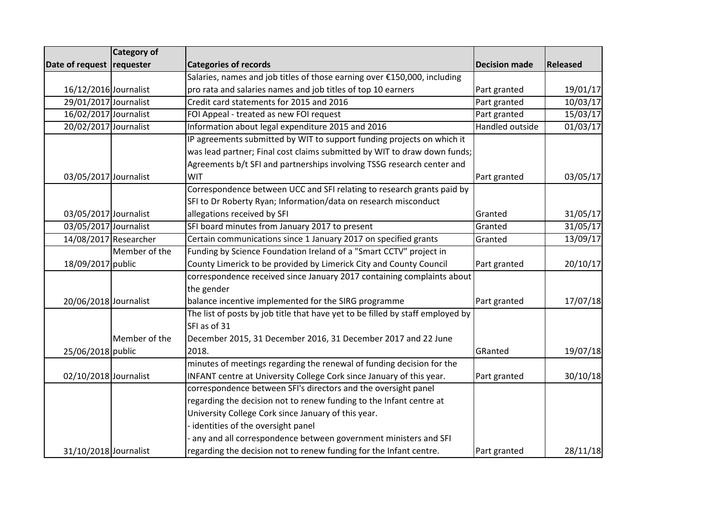|                           | <b>Category of</b>    |                                                                                |                        |          |
|---------------------------|-----------------------|--------------------------------------------------------------------------------|------------------------|----------|
| Date of request requester |                       | <b>Categories of records</b>                                                   | <b>Decision made</b>   | Released |
|                           |                       | Salaries, names and job titles of those earning over €150,000, including       |                        |          |
| 16/12/2016 Journalist     |                       | pro rata and salaries names and job titles of top 10 earners                   | Part granted           | 19/01/17 |
| 29/01/2017 Journalist     |                       | Credit card statements for 2015 and 2016                                       | Part granted           | 10/03/17 |
| 16/02/2017 Journalist     |                       | FOI Appeal - treated as new FOI request                                        | Part granted           | 15/03/17 |
| 20/02/2017 Journalist     |                       | Information about legal expenditure 2015 and 2016                              | <b>Handled outside</b> | 01/03/17 |
|                           |                       | IP agreements submitted by WIT to support funding projects on which it         |                        |          |
|                           |                       | was lead partner; Final cost claims submitted by WIT to draw down funds;       |                        |          |
|                           |                       | Agreements b/t SFI and partnerships involving TSSG research center and         |                        |          |
| 03/05/2017 Journalist     |                       | WIT                                                                            | Part granted           | 03/05/17 |
|                           |                       | Correspondence between UCC and SFI relating to research grants paid by         |                        |          |
|                           |                       | SFI to Dr Roberty Ryan; Information/data on research misconduct                |                        |          |
| 03/05/2017 Journalist     |                       | allegations received by SFI                                                    | Granted                | 31/05/17 |
| 03/05/2017 Journalist     |                       | SFI board minutes from January 2017 to present                                 | Granted                | 31/05/17 |
|                           | 14/08/2017 Researcher | Certain communications since 1 January 2017 on specified grants                | Granted                | 13/09/17 |
|                           | Member of the         | Funding by Science Foundation Ireland of a "Smart CCTV" project in             |                        |          |
| 18/09/2017 public         |                       | County Limerick to be provided by Limerick City and County Council             | Part granted           | 20/10/17 |
|                           |                       | correspondence received since January 2017 containing complaints about         |                        |          |
|                           |                       | the gender                                                                     |                        |          |
| 20/06/2018 Journalist     |                       | balance incentive implemented for the SIRG programme                           | Part granted           | 17/07/18 |
|                           |                       | The list of posts by job title that have yet to be filled by staff employed by |                        |          |
|                           |                       | SFI as of 31                                                                   |                        |          |
|                           | Member of the         | December 2015, 31 December 2016, 31 December 2017 and 22 June                  |                        |          |
| 25/06/2018 public         |                       | 2018.                                                                          | GRanted                | 19/07/18 |
|                           |                       | minutes of meetings regarding the renewal of funding decision for the          |                        |          |
| 02/10/2018 Journalist     |                       | INFANT centre at University College Cork since January of this year.           | Part granted           | 30/10/18 |
|                           |                       | correspondence between SFI's directors and the oversight panel                 |                        |          |
|                           |                       | regarding the decision not to renew funding to the Infant centre at            |                        |          |
|                           |                       | University College Cork since January of this year.                            |                        |          |
|                           |                       | identities of the oversight panel                                              |                        |          |
|                           |                       | any and all correspondence between government ministers and SFI                |                        |          |
| 31/10/2018 Journalist     |                       | regarding the decision not to renew funding for the Infant centre.             | Part granted           | 28/11/18 |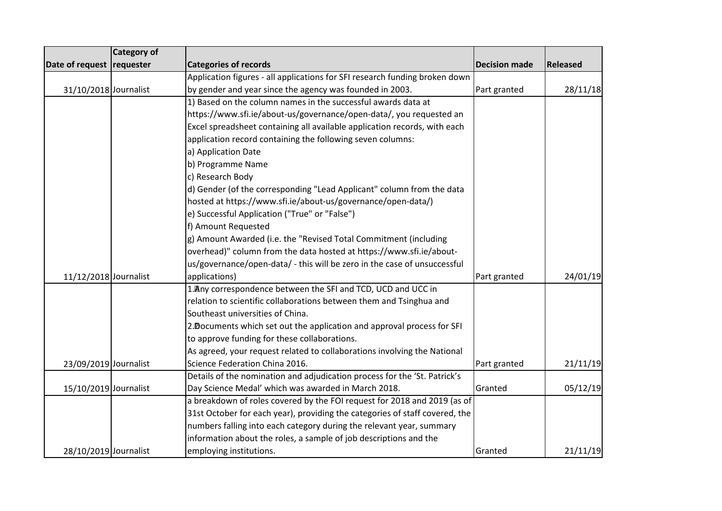|                           | Category of |                                                                             |                      |          |
|---------------------------|-------------|-----------------------------------------------------------------------------|----------------------|----------|
| Date of request requester |             | <b>Categories of records</b>                                                | <b>Decision made</b> | Released |
|                           |             | Application figures - all applications for SFI research funding broken down |                      |          |
| 31/10/2018 Journalist     |             | by gender and year since the agency was founded in 2003.                    | Part granted         | 28/11/18 |
|                           |             | 1) Based on the column names in the successful awards data at               |                      |          |
|                           |             | https://www.sfi.ie/about-us/governance/open-data/, you requested an         |                      |          |
|                           |             | Excel spreadsheet containing all available application records, with each   |                      |          |
|                           |             | application record containing the following seven columns:                  |                      |          |
|                           |             | a) Application Date                                                         |                      |          |
|                           |             | b) Programme Name                                                           |                      |          |
|                           |             | c) Research Body                                                            |                      |          |
|                           |             | d) Gender (of the corresponding "Lead Applicant" column from the data       |                      |          |
|                           |             | hosted at https://www.sfi.ie/about-us/governance/open-data/)                |                      |          |
|                           |             | e) Successful Application ("True" or "False")                               |                      |          |
|                           |             | f) Amount Requested                                                         |                      |          |
|                           |             | g) Amount Awarded (i.e. the "Revised Total Commitment (including            |                      |          |
|                           |             | overhead)" column from the data hosted at https://www.sfi.ie/about-         |                      |          |
|                           |             | us/governance/open-data/ - this will be zero in the case of unsuccessful    |                      |          |
| 11/12/2018 Journalist     |             | applications)                                                               | Part granted         | 24/01/19 |
|                           |             | 1. Any correspondence between the SFI and TCD, UCD and UCC in               |                      |          |
|                           |             | relation to scientific collaborations between them and Tsinghua and         |                      |          |
|                           |             | Southeast universities of China.                                            |                      |          |
|                           |             | 2. Documents which set out the application and approval process for SFI     |                      |          |
|                           |             | to approve funding for these collaborations.                                |                      |          |
|                           |             | As agreed, your request related to collaborations involving the National    |                      |          |
| 23/09/2019 Journalist     |             | Science Federation China 2016.                                              | Part granted         | 21/11/19 |
|                           |             | Details of the nomination and adjudication process for the 'St. Patrick's   |                      |          |
| 15/10/2019 Journalist     |             | Day Science Medal' which was awarded in March 2018.                         | Granted              | 05/12/19 |
|                           |             | a breakdown of roles covered by the FOI request for 2018 and 2019 (as of    |                      |          |
|                           |             | 31st October for each year), providing the categories of staff covered, the |                      |          |
|                           |             | numbers falling into each category during the relevant year, summary        |                      |          |
|                           |             | information about the roles, a sample of job descriptions and the           |                      |          |
| 28/10/2019 Journalist     |             | employing institutions.                                                     | Granted              | 21/11/19 |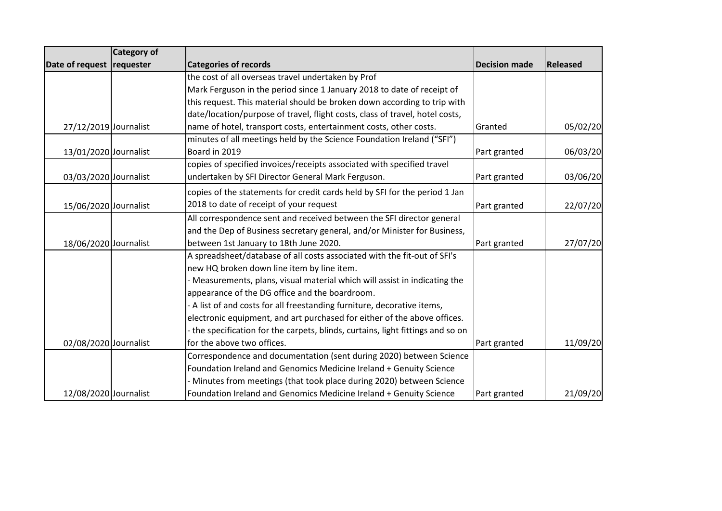|                           | <b>Category of</b> |                                                                               |                      |                 |
|---------------------------|--------------------|-------------------------------------------------------------------------------|----------------------|-----------------|
| Date of request requester |                    | <b>Categories of records</b>                                                  | <b>Decision made</b> | <b>Released</b> |
|                           |                    | the cost of all overseas travel undertaken by Prof                            |                      |                 |
|                           |                    | Mark Ferguson in the period since 1 January 2018 to date of receipt of        |                      |                 |
|                           |                    | this request. This material should be broken down according to trip with      |                      |                 |
|                           |                    | date/location/purpose of travel, flight costs, class of travel, hotel costs,  |                      |                 |
| 27/12/2019 Journalist     |                    | name of hotel, transport costs, entertainment costs, other costs.             | Granted              | 05/02/20        |
|                           |                    | minutes of all meetings held by the Science Foundation Ireland ("SFI")        |                      |                 |
| 13/01/2020 Journalist     |                    | Board in 2019                                                                 | Part granted         | 06/03/20        |
|                           |                    | copies of specified invoices/receipts associated with specified travel        |                      |                 |
| 03/03/2020 Journalist     |                    | undertaken by SFI Director General Mark Ferguson.                             | Part granted         | 03/06/20        |
|                           |                    | copies of the statements for credit cards held by SFI for the period 1 Jan    |                      |                 |
| 15/06/2020 Journalist     |                    | 2018 to date of receipt of your request                                       | Part granted         | 22/07/20        |
|                           |                    | All correspondence sent and received between the SFI director general         |                      |                 |
|                           |                    | and the Dep of Business secretary general, and/or Minister for Business,      |                      |                 |
| 18/06/2020 Journalist     |                    | between 1st January to 18th June 2020.                                        | Part granted         | 27/07/20        |
|                           |                    | A spreadsheet/database of all costs associated with the fit-out of SFI's      |                      |                 |
|                           |                    | new HQ broken down line item by line item.                                    |                      |                 |
|                           |                    | Measurements, plans, visual material which will assist in indicating the      |                      |                 |
|                           |                    | appearance of the DG office and the boardroom.                                |                      |                 |
|                           |                    | A list of and costs for all freestanding furniture, decorative items,         |                      |                 |
|                           |                    | electronic equipment, and art purchased for either of the above offices.      |                      |                 |
|                           |                    | the specification for the carpets, blinds, curtains, light fittings and so on |                      |                 |
| 02/08/2020 Journalist     |                    | for the above two offices.                                                    | Part granted         | 11/09/20        |
|                           |                    | Correspondence and documentation (sent during 2020) between Science           |                      |                 |
|                           |                    | Foundation Ireland and Genomics Medicine Ireland + Genuity Science            |                      |                 |
|                           |                    | Minutes from meetings (that took place during 2020) between Science           |                      |                 |
| 12/08/2020 Journalist     |                    | Foundation Ireland and Genomics Medicine Ireland + Genuity Science            | Part granted         | 21/09/20        |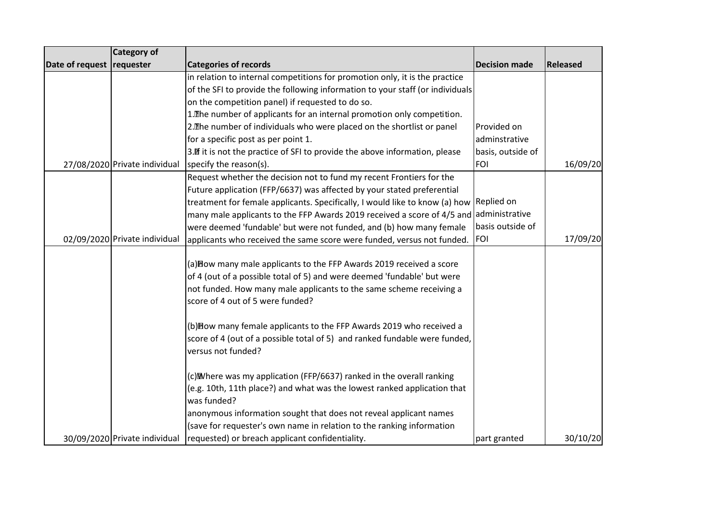|                           | Category of                   |                                                                                                                                                                                                                                                            |                      |          |
|---------------------------|-------------------------------|------------------------------------------------------------------------------------------------------------------------------------------------------------------------------------------------------------------------------------------------------------|----------------------|----------|
| Date of request requester |                               | <b>Categories of records</b>                                                                                                                                                                                                                               | <b>Decision made</b> | Released |
|                           |                               | in relation to internal competitions for promotion only, it is the practice                                                                                                                                                                                |                      |          |
|                           |                               | of the SFI to provide the following information to your staff (or individuals                                                                                                                                                                              |                      |          |
|                           |                               | on the competition panel) if requested to do so.                                                                                                                                                                                                           |                      |          |
|                           |                               | 1. The number of applicants for an internal promotion only competition.                                                                                                                                                                                    |                      |          |
|                           |                               | 2. The number of individuals who were placed on the shortlist or panel                                                                                                                                                                                     | Provided on          |          |
|                           |                               | for a specific post as per point 1.                                                                                                                                                                                                                        | adminstrative        |          |
|                           |                               | 3. If it is not the practice of SFI to provide the above information, please                                                                                                                                                                               | basis, outside of    |          |
|                           | 27/08/2020 Private individual | specify the reason(s).                                                                                                                                                                                                                                     | <b>FOI</b>           | 16/09/20 |
|                           |                               | Request whether the decision not to fund my recent Frontiers for the                                                                                                                                                                                       |                      |          |
|                           |                               | Future application (FFP/6637) was affected by your stated preferential                                                                                                                                                                                     |                      |          |
|                           |                               | treatment for female applicants. Specifically, I would like to know (a) how Replied on                                                                                                                                                                     |                      |          |
|                           |                               | many male applicants to the FFP Awards 2019 received a score of 4/5 and administrative                                                                                                                                                                     |                      |          |
|                           |                               | were deemed 'fundable' but were not funded, and (b) how many female                                                                                                                                                                                        | basis outside of     |          |
|                           | 02/09/2020 Private individual | applicants who received the same score were funded, versus not funded.                                                                                                                                                                                     | <b>FOI</b>           | 17/09/20 |
|                           |                               | (a) Bow many male applicants to the FFP Awards 2019 received a score<br>of 4 (out of a possible total of 5) and were deemed 'fundable' but were<br>not funded. How many male applicants to the same scheme receiving a<br>score of 4 out of 5 were funded? |                      |          |
|                           |                               | (b) Bow many female applicants to the FFP Awards 2019 who received a<br>score of 4 (out of a possible total of 5) and ranked fundable were funded,<br>versus not funded?                                                                                   |                      |          |
|                           |                               | (c) Mombere was my application (FFP/6637) ranked in the overall ranking                                                                                                                                                                                    |                      |          |
|                           |                               | (e.g. 10th, 11th place?) and what was the lowest ranked application that<br>was funded?                                                                                                                                                                    |                      |          |
|                           |                               | anonymous information sought that does not reveal applicant names                                                                                                                                                                                          |                      |          |
|                           |                               | (save for requester's own name in relation to the ranking information                                                                                                                                                                                      |                      |          |
|                           | 30/09/2020 Private individual | requested) or breach applicant confidentiality.                                                                                                                                                                                                            | part granted         | 30/10/20 |